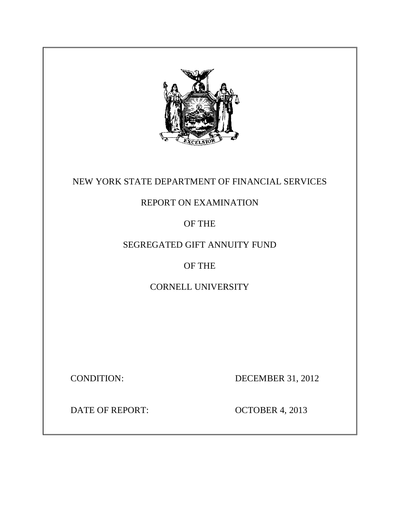

## NEW YORK STATE DEPARTMENT OF FINANCIAL SERVICES

## REPORT ON EXAMINATION

OF THE

# SEGREGATED GIFT ANNUITY FUND

# OF THE

CORNELL UNIVERSITY

**CONDITION:** 

DECEMBER 31, 2012

**DATE OF REPORT:** 

**OCTOBER 4, 2013**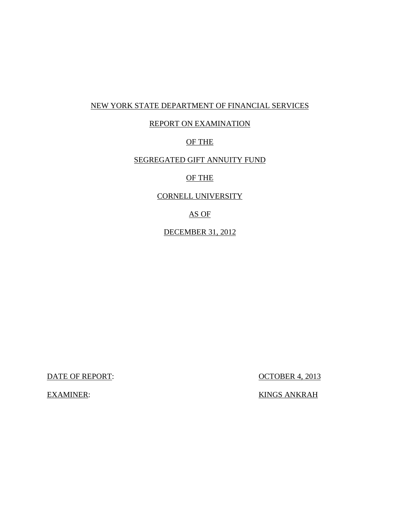### NEW YORK STATE DEPARTMENT OF FINANCIAL SERVICES

## REPORT ON EXAMINATION

### OF THE

### SEGREGATED GIFT ANNUITY FUND

### OF THE

### CORNELL UNIVERSITY

### AS OF

### DECEMBER 31, 2012

DATE OF REPORT:  $OCTOBER\ 4, 2013$ 

**EXAMINER:** 

KINGS ANKRAH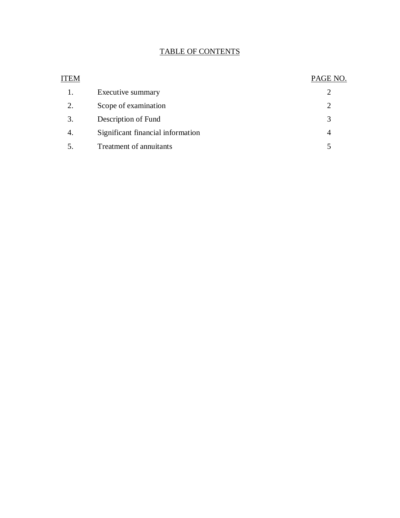### TABLE OF CONTENTS

| ITEM |                                   | PAGE NO.       |
|------|-----------------------------------|----------------|
| 1.   | Executive summary                 | 2              |
| 2.   | Scope of examination              | $\overline{2}$ |
| 3.   | Description of Fund               | 3              |
| 4.   | Significant financial information | 4              |
| 5.   | Treatment of annuitants           | 5              |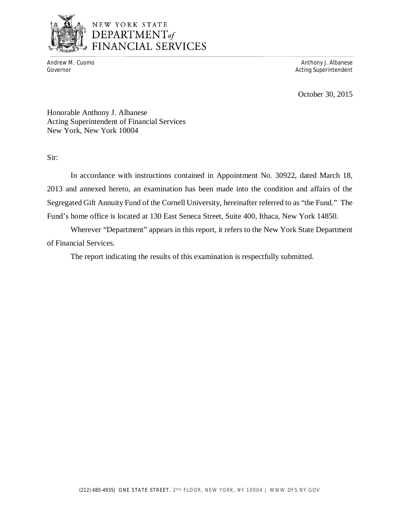

# NEW YORK STATE DEPARTMENT<sub>of</sub><br>FINANCIAL SERVICES

Andrew M. Cuomo<br>Governor

Anthony J. Albanese Acting Superintendent

October 30, 2015

 Honorable Anthony J. Albanese Acting Superintendent of Financial Services New York, New York 10004

Sir:

 2013 and annexed hereto, an examination has been made into the condition and affairs of the Segregated Gift Annuity Fund of the Cornell University, hereinafter referred to as "the Fund." The Fund's home office is located at 130 East Seneca Street, Suite 400, Ithaca, New York 14850. In accordance with instructions contained in Appointment No. 30922, dated March 18,

 Wherever "Department" appears in this report, it refers to the New York State Department of Financial Services.

The report indicating the results of this examination is respectfully submitted.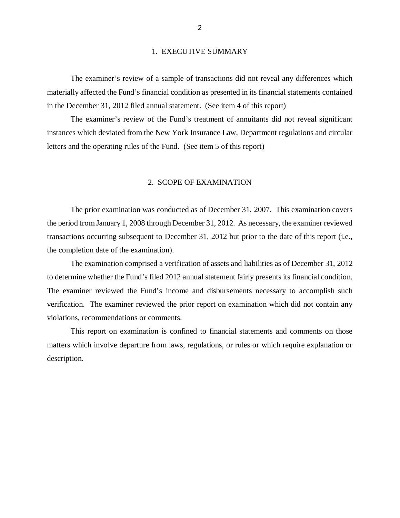### 1. EXECUTIVE SUMMARY

 materially affected the Fund's financial condition as presented in its financial statements contained in the December 31, 2012 filed annual statement. (See item 4 of this report) The examiner's review of a sample of transactions did not reveal any differences which

 instances which deviated from the New York Insurance Law, Department regulations and circular letters and the operating rules of the Fund. (See item 5 of this report) The examiner's review of the Fund's treatment of annuitants did not reveal significant

### 2. SCOPE OF EXAMINATION

 the period from January 1, 2008 through December 31, 2012. As necessary, the examiner reviewed transactions occurring subsequent to December 31, 2012 but prior to the date of this report (i.e., the completion date of the examination). The prior examination was conducted as of December 31, 2007. This examination covers

 to determine whether the Fund's filed 2012 annual statement fairly presents its financial condition. The examiner reviewed the Fund's income and disbursements necessary to accomplish such verification. The examiner reviewed the prior report on examination which did not contain any violations, recommendations or comments. The examination comprised a verification of assets and liabilities as of December 31, 2012

 matters which involve departure from laws, regulations, or rules or which require explanation or This report on examination is confined to financial statements and comments on those description.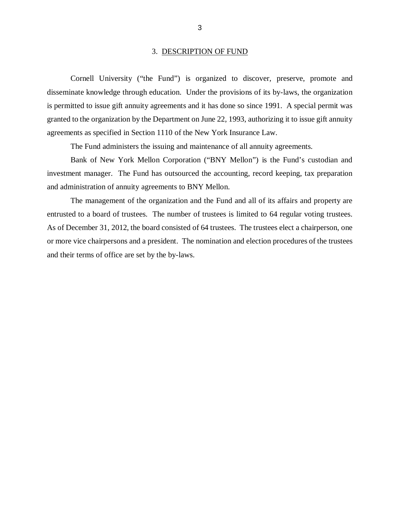### 3. DESCRIPTION OF FUND

 Cornell University ("the Fund") is organized to discover, preserve, promote and disseminate knowledge through education. Under the provisions of its by-laws, the organization is permitted to issue gift annuity agreements and it has done so since 1991. A special permit was granted to the organization by the Department on June 22, 1993, authorizing it to issue gift annuity agreements as specified in Section 1110 of the New York Insurance Law.

The Fund administers the issuing and maintenance of all annuity agreements.

 Bank of New York Mellon Corporation ("BNY Mellon") is the Fund's custodian and investment manager. The Fund has outsourced the accounting, record keeping, tax preparation and administration of annuity agreements to BNY Mellon.

 The management of the organization and the Fund and all of its affairs and property are entrusted to a board of trustees. The number of trustees is limited to 64 regular voting trustees. As of December 31, 2012, the board consisted of 64 trustees. The trustees elect a chairperson, one or more vice chairpersons and a president. The nomination and election procedures of the trustees and their terms of office are set by the by-laws.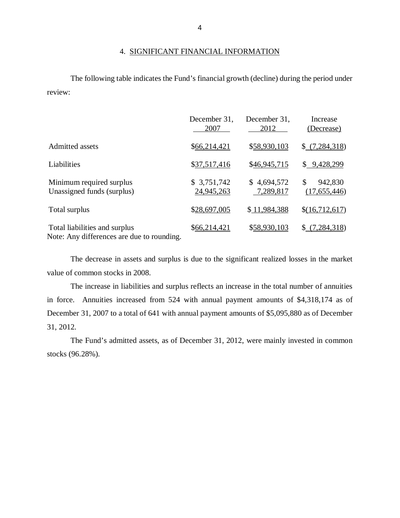### 4. SIGNIFICANT FINANCIAL INFORMATION

The following table indicates the Fund's financial growth (decline) during the period under review:

|                                                                             | December 31,<br>2007      | December 31,<br>2012     | Increase<br>(Decrease)        |
|-----------------------------------------------------------------------------|---------------------------|--------------------------|-------------------------------|
| Admitted assets                                                             | \$66,214,421              | \$58,930,103             | \$(7,284,318)                 |
| Liabilities                                                                 | \$37,517,416              | \$46,945,715             | \$9,428,299                   |
| Minimum required surplus<br>Unassigned funds (surplus)                      | \$3,751,742<br>24,945,263 | \$4,694,572<br>7,289,817 | \$<br>942,830<br>(17,655,446) |
| Total surplus                                                               | \$28,697,005              | \$11,984,388             | \$(16,712,617)                |
| Total liabilities and surplus<br>Note: Any differences are due to rounding. | \$66,214,421              | \$58,930,103             | \$(7,284,318)                 |

 The decrease in assets and surplus is due to the significant realized losses in the market value of common stocks in 2008.

 The increase in liabilities and surplus reflects an increase in the total number of annuities in force. Annuities increased from 524 with annual payment amounts of \$4,318,174 as of December 31, 2007 to a total of 641 with annual payment amounts of \$5,095,880 as of December 31, 2012.

 The Fund's admitted assets, as of December 31, 2012, were mainly invested in common stocks (96.28%).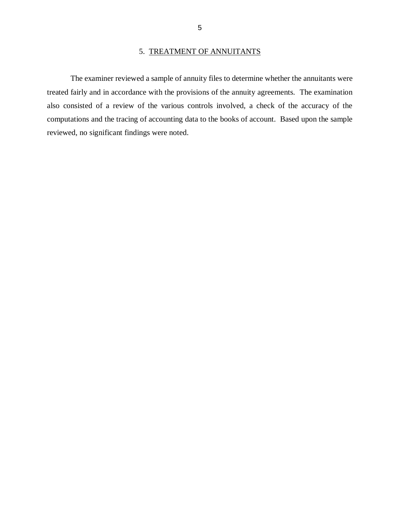### 5. TREATMENT OF ANNUITANTS

<span id="page-7-0"></span> treated fairly and in accordance with the provisions of the annuity agreements. The examination also consisted of a review of the various controls involved, a check of the accuracy of the computations and the tracing of accounting data to the books of account. Based upon the sample reviewed, no significant findings were noted. The examiner reviewed a sample of annuity files to determine whether the annuitants were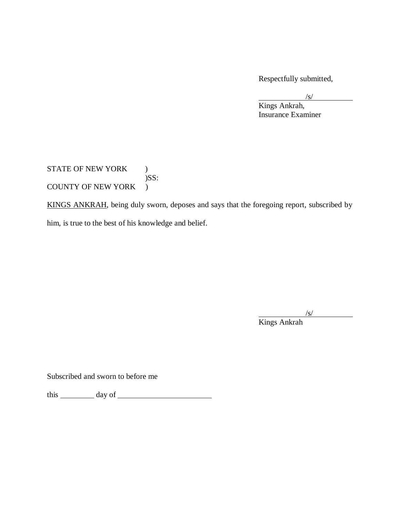Respectfully submitted,

 $\sqrt{s/2}$ 

 Insurance Examiner Kings Ankrah,

STATE OF NEW YORK ) COUNTY OF NEW YORK )  $)$ SS:

KINGS ANKRAH, being duly sworn, deposes and says that the foregoing report, subscribed by him, is true to the best of his knowledge and belief.

 $\frac{|s|}{s}$ 

Kings Ankrah

Subscribed and sworn to before me

this day of